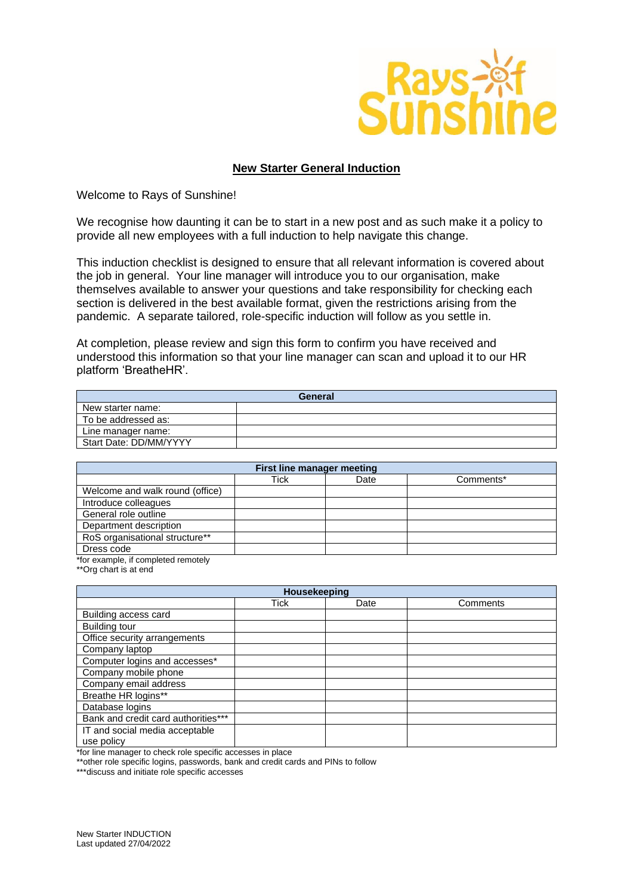

## **New Starter General Induction**

Welcome to Rays of Sunshine!

We recognise how daunting it can be to start in a new post and as such make it a policy to provide all new employees with a full induction to help navigate this change.

This induction checklist is designed to ensure that all relevant information is covered about the job in general. Your line manager will introduce you to our organisation, make themselves available to answer your questions and take responsibility for checking each section is delivered in the best available format, given the restrictions arising from the pandemic. A separate tailored, role-specific induction will follow as you settle in.

At completion, please review and sign this form to confirm you have received and understood this information so that your line manager can scan and upload it to our HR platform 'BreatheHR'.

| General                |  |  |
|------------------------|--|--|
| New starter name:      |  |  |
| To be addressed as:    |  |  |
| Line manager name:     |  |  |
| Start Date: DD/MM/YYYY |  |  |

| First line manager meeting      |      |      |           |
|---------------------------------|------|------|-----------|
|                                 | Tick | Date | Comments* |
| Welcome and walk round (office) |      |      |           |
| Introduce colleagues            |      |      |           |
| General role outline            |      |      |           |
| Department description          |      |      |           |
| RoS organisational structure**  |      |      |           |
| Dress code                      |      |      |           |

\*for example, if completed remotely

\*\*Org chart is at end

| Housekeeping |      |          |  |  |
|--------------|------|----------|--|--|
| <b>Tick</b>  | Date | Comments |  |  |
|              |      |          |  |  |
|              |      |          |  |  |
|              |      |          |  |  |
|              |      |          |  |  |
|              |      |          |  |  |
|              |      |          |  |  |
|              |      |          |  |  |
|              |      |          |  |  |
|              |      |          |  |  |
|              |      |          |  |  |
|              |      |          |  |  |
|              |      |          |  |  |
|              |      |          |  |  |

\*for line manager to check role specific accesses in place

\*\*other role specific logins, passwords, bank and credit cards and PINs to follow

\*\*\*discuss and initiate role specific accesses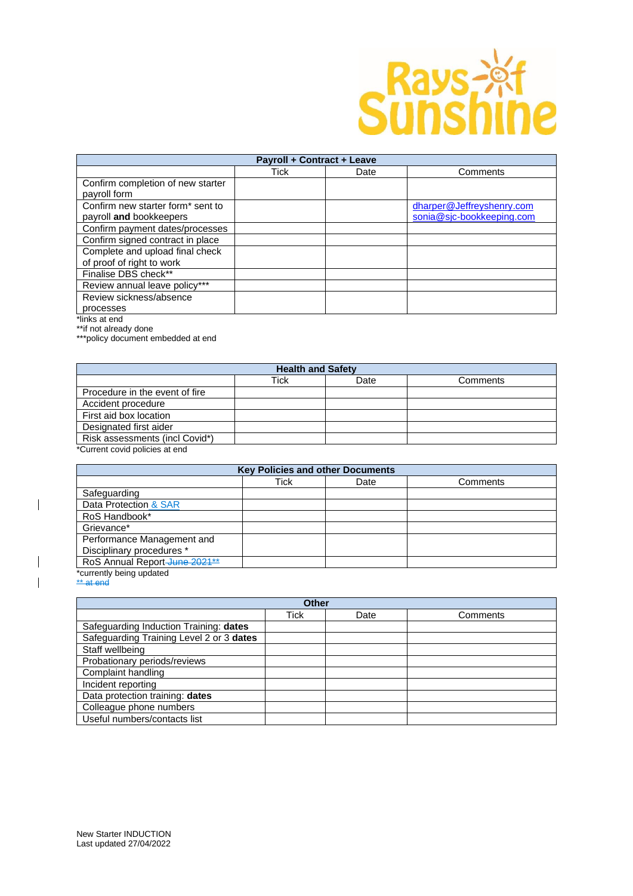

| Payroll + Contract + Leave        |      |      |                           |
|-----------------------------------|------|------|---------------------------|
|                                   | Tick | Date | Comments                  |
| Confirm completion of new starter |      |      |                           |
| payroll form                      |      |      |                           |
| Confirm new starter form* sent to |      |      | dharper@Jeffreyshenry.com |
| payroll and bookkeepers           |      |      | sonia@sjc-bookkeeping.com |
| Confirm payment dates/processes   |      |      |                           |
| Confirm signed contract in place  |      |      |                           |
| Complete and upload final check   |      |      |                           |
| of proof of right to work         |      |      |                           |
| Finalise DBS check**              |      |      |                           |
| Review annual leave policy***     |      |      |                           |
| Review sickness/absence           |      |      |                           |
| processes                         |      |      |                           |

\*links at end

\*\*if not already done

\*\*\*policy document embedded at end

| <b>Health and Safety</b>       |      |      |          |
|--------------------------------|------|------|----------|
|                                | Tick | Date | Comments |
| Procedure in the event of fire |      |      |          |
| Accident procedure             |      |      |          |
| First aid box location         |      |      |          |
| Designated first aider         |      |      |          |
| Risk assessments (incl Covid*) |      |      |          |
| $*$                            |      |      |          |

\*Current covid policies at end

| <b>Key Policies and other Documents</b> |      |      |          |
|-----------------------------------------|------|------|----------|
|                                         | Tick | Date | Comments |
| Safeguarding                            |      |      |          |
| Data Protection & SAR                   |      |      |          |
| RoS Handbook*                           |      |      |          |
| Grievance*                              |      |      |          |
| Performance Management and              |      |      |          |
| Disciplinary procedures *               |      |      |          |
| RoS Annual Report-June 2021**           |      |      |          |
| *currently being updated                |      |      |          |

\*\* at end

 $\begin{array}{c} \hline \end{array}$ 

 $\overline{\mathbf{I}}$  $\overline{\phantom{a}}$ 

| <b>Other</b>                             |      |      |          |
|------------------------------------------|------|------|----------|
|                                          | Tick | Date | Comments |
| Safeguarding Induction Training: dates   |      |      |          |
| Safeguarding Training Level 2 or 3 dates |      |      |          |
| Staff wellbeing                          |      |      |          |
| Probationary periods/reviews             |      |      |          |
| Complaint handling                       |      |      |          |
| Incident reporting                       |      |      |          |
| Data protection training: dates          |      |      |          |
| Colleague phone numbers                  |      |      |          |
| Useful numbers/contacts list             |      |      |          |
|                                          |      |      |          |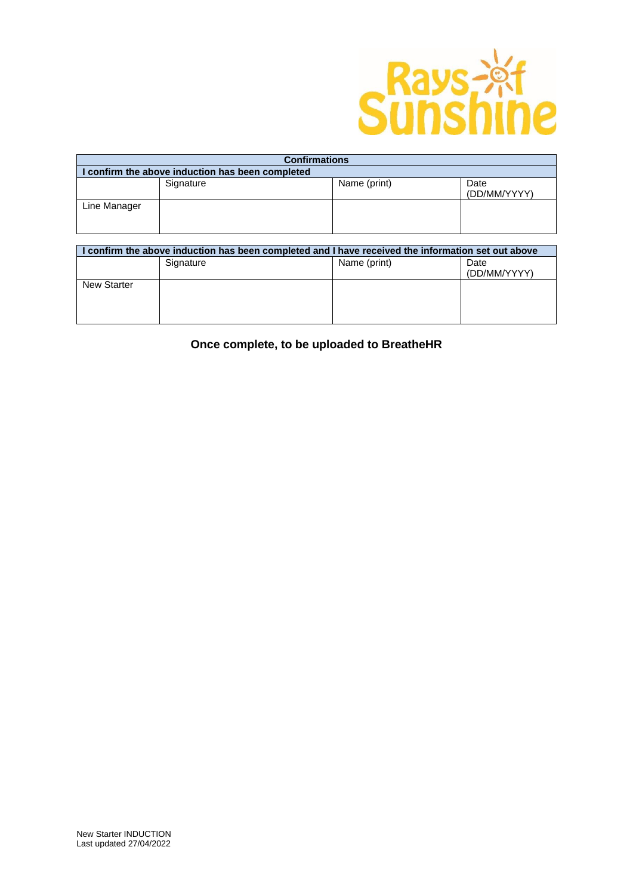

| <b>Confirmations</b>                             |           |              |                      |
|--------------------------------------------------|-----------|--------------|----------------------|
| I confirm the above induction has been completed |           |              |                      |
|                                                  | Signature | Name (print) | Date<br>(DD/MM/YYYY) |
| Line Manager                                     |           |              |                      |

| I confirm the above induction has been completed and I have received the information set out above |           |              |                      |
|----------------------------------------------------------------------------------------------------|-----------|--------------|----------------------|
|                                                                                                    | Signature | Name (print) | Date<br>(DD/MM/YYYY) |
| <b>New Starter</b>                                                                                 |           |              |                      |
|                                                                                                    |           |              |                      |

**Once complete, to be uploaded to BreatheHR**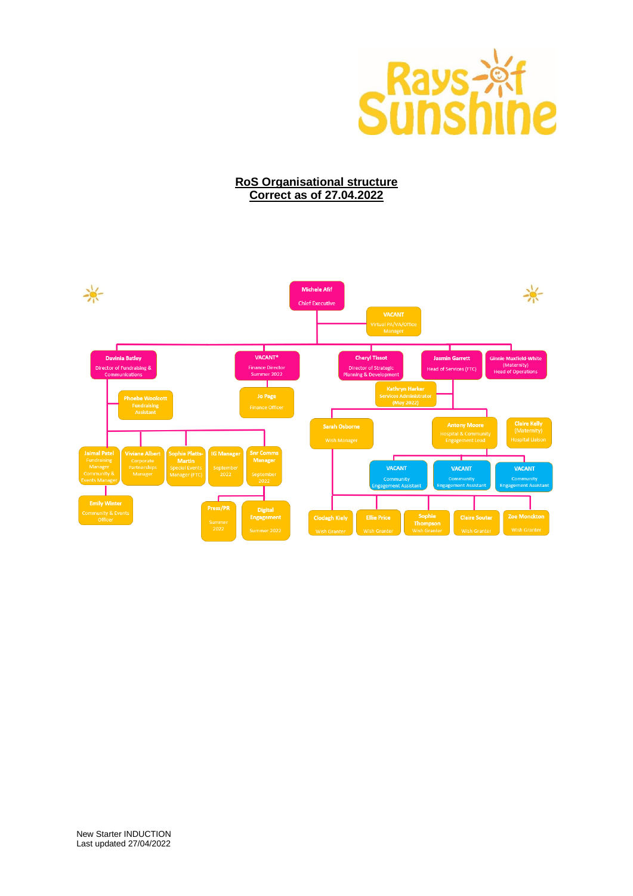

## **RoS Organisational structure Correct as of 27.04.2022**